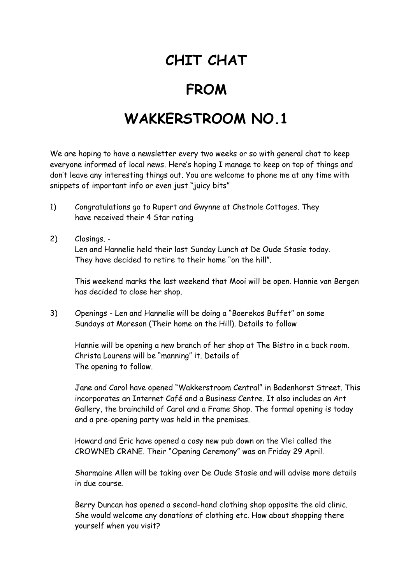## **CHIT CHAT**

## **FROM**

## **WAKKERSTROOM NO.1**

We are hoping to have a newsletter every two weeks or so with general chat to keep everyone informed of local news. Here's hoping I manage to keep on top of things and don't leave any interesting things out. You are welcome to phone me at any time with snippets of important info or even just "juicy bits"

- 1) Congratulations go to Rupert and Gwynne at Chetnole Cottages. They have received their 4 Star rating
- 2) Closings. Len and Hannelie held their last Sunday Lunch at De Oude Stasie today. They have decided to retire to their home "on the hill".

This weekend marks the last weekend that Mooi will be open. Hannie van Bergen has decided to close her shop.

3) Openings - Len and Hannelie will be doing a "Boerekos Buffet" on some Sundays at Moreson (Their home on the Hill). Details to follow

Hannie will be opening a new branch of her shop at The Bistro in a back room. Christa Lourens will be "manning" it. Details of The opening to follow.

Jane and Carol have opened "Wakkerstroom Central" in Badenhorst Street. This incorporates an Internet Café and a Business Centre. It also includes an Art Gallery, the brainchild of Carol and a Frame Shop. The formal opening is today and a pre-opening party was held in the premises.

Howard and Eric have opened a cosy new pub down on the Vlei called the CROWNED CRANE. Their "Opening Ceremony" was on Friday 29 April.

Sharmaine Allen will be taking over De Oude Stasie and will advise more details in due course.

Berry Duncan has opened a second-hand clothing shop opposite the old clinic. She would welcome any donations of clothing etc. How about shopping there yourself when you visit?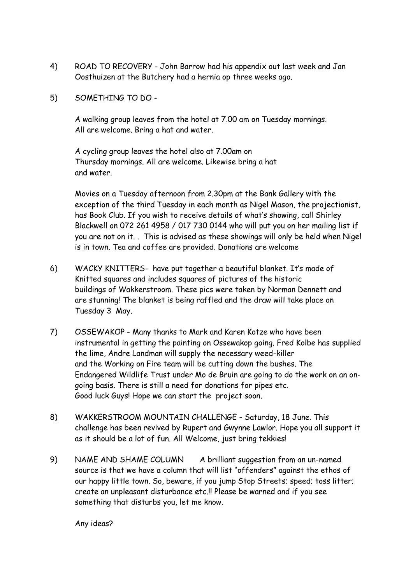- 4) ROAD TO RECOVERY John Barrow had his appendix out last week and Jan Oosthuizen at the Butchery had a hernia op three weeks ago.
- 5) SOMETHING TO DO -

A walking group leaves from the hotel at 7.00 am on Tuesday mornings. All are welcome. Bring a hat and water.

A cycling group leaves the hotel also at 7.00am on Thursday mornings. All are welcome. Likewise bring a hat and water.

Movies on a Tuesday afternoon from 2.30pm at the Bank Gallery with the exception of the third Tuesday in each month as Nigel Mason, the projectionist, has Book Club. If you wish to receive details of what's showing, call Shirley Blackwell on 072 261 4958 / 017 730 0144 who will put you on her mailing list if you are not on it. . This is advised as these showings will only be held when Nigel is in town. Tea and coffee are provided. Donations are welcome

- 6) WACKY KNITTERS- have put together a beautiful blanket. It's made of Knitted squares and includes squares of pictures of the historic buildings of Wakkerstroom. These pics were taken by Norman Dennett and are stunning! The blanket is being raffled and the draw will take place on Tuesday 3 May.
- 7) OSSEWAKOP Many thanks to Mark and Karen Kotze who have been instrumental in getting the painting on Ossewakop going. Fred Kolbe has supplied the lime, Andre Landman will supply the necessary weed-killer and the Working on Fire team will be cutting down the bushes. The Endangered Wildlife Trust under Mo de Bruin are going to do the work on an ongoing basis. There is still a need for donations for pipes etc. Good luck Guys! Hope we can start the project soon.
- 8) WAKKERSTROOM MOUNTAIN CHALLENGE Saturday, 18 June. This challenge has been revived by Rupert and Gwynne Lawlor. Hope you all support it as it should be a lot of fun. All Welcome, just bring tekkies!
- 9) NAME AND SHAME COLUMN A brilliant suggestion from an un-named source is that we have a column that will list "offenders" against the ethos of our happy little town. So, beware, if you jump Stop Streets; speed; toss litter; create an unpleasant disturbance etc.!! Please be warned and if you see something that disturbs you, let me know.

Any ideas?